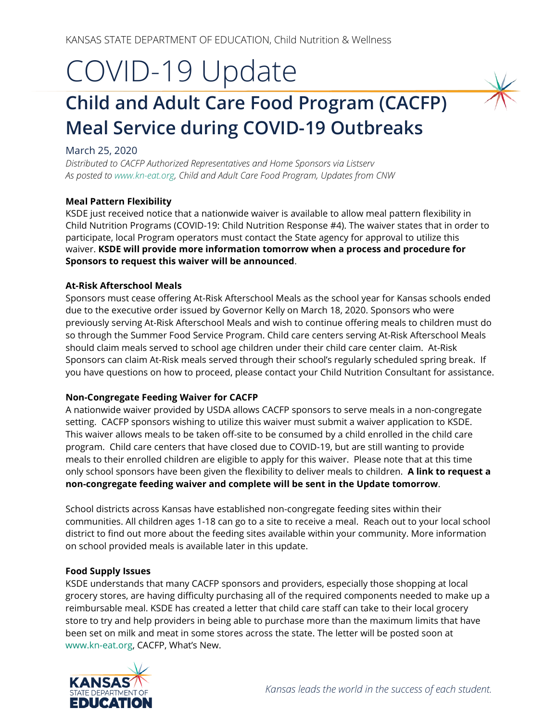# COVID-19 Update

## **Child and Adult Care Food Program (CACFP) Meal Service during COVID-19 Outbreaks**

#### March 25, 2020

*Distributed to CACFP Authorized Representatives and Home Sponsors via Listserv As posted t[o www.kn-eat.org,](http://www.kn-eat.org/) Child and Adult Care Food Program, Updates from CNW*

#### **Meal Pattern Flexibility**

KSDE just received notice that a nationwide waiver is available to allow meal pattern flexibility in Child Nutrition Programs (COVID-19: Child Nutrition Response #4). The waiver states that in order to participate, local Program operators must contact the State agency for approval to utilize this waiver. **KSDE will provide more information tomorrow when a process and procedure for Sponsors to request this waiver will be announced**.

#### **At-Risk Afterschool Meals**

Sponsors must cease offering At-Risk Afterschool Meals as the school year for Kansas schools ended due to the executive order issued by Governor Kelly on March 18, 2020. Sponsors who were previously serving At-Risk Afterschool Meals and wish to continue offering meals to children must do so through the Summer Food Service Program. Child care centers serving At-Risk Afterschool Meals should claim meals served to school age children under their child care center claim. At-Risk Sponsors can claim At-Risk meals served through their school's regularly scheduled spring break. If you have questions on how to proceed, please contact your Child Nutrition Consultant for assistance.

#### **Non-Congregate Feeding Waiver for CACFP**

A nationwide waiver provided by USDA allows CACFP sponsors to serve meals in a non-congregate setting. CACFP sponsors wishing to utilize this waiver must submit a waiver application to KSDE. This waiver allows meals to be taken off-site to be consumed by a child enrolled in the child care program. Child care centers that have closed due to COVID-19, but are still wanting to provide meals to their enrolled children are eligible to apply for this waiver. Please note that at this time only school sponsors have been given the flexibility to deliver meals to children. **A link to request a non-congregate feeding waiver and complete will be sent in the Update tomorrow**.

School districts across Kansas have established non-congregate feeding sites within their communities. All children ages 1-18 can go to a site to receive a meal. Reach out to your local school district to find out more about the feeding sites available within your community. More information on school provided meals is available later in this update.

#### **Food Supply Issues**

KSDE understands that many CACFP sponsors and providers, especially those shopping at local grocery stores, are having difficulty purchasing all of the required components needed to make up a reimbursable meal. KSDE has created a letter that child care staff can take to their local grocery store to try and help providers in being able to purchase more than the maximum limits that have been set on milk and meat in some stores across the state. The letter will be posted soon at [www.kn-eat.org,](http://www.kn-eat.org/) CACFP, What's New.